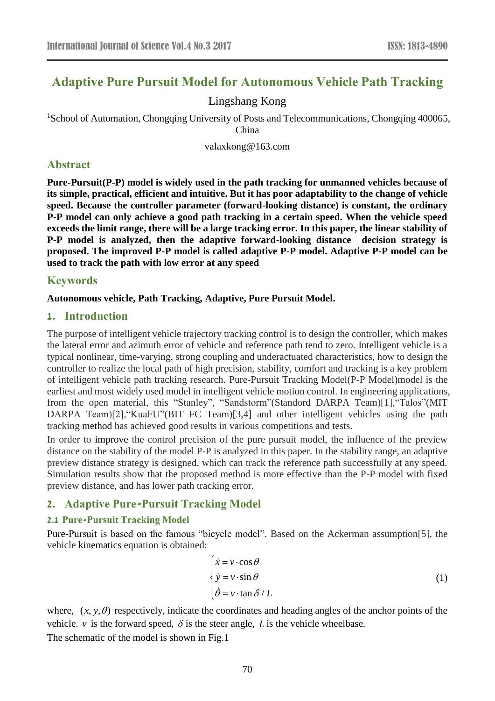# **Adaptive Pure Pursuit Model for Autonomous Vehicle Path Tracking**

## Lingshang Kong

<sup>1</sup>School of Automation, Chongqing University of Posts and Telecommunications, Chongqing 400065, China

valaxkong@163.com

## **Abstract**

**Pure-Pursuit(P-P) model is widely used in the path tracking for unmanned vehicles because of its simple, practical, efficient and intuitive. But it has poor adaptability to the change of vehicle speed. Because the controller parameter (forward-looking distance) is constant, the ordinary P-P model can only achieve a good path tracking in a certain speed. When the vehicle speed exceeds the limit range, there will be a large tracking error. In this paper, the linear stability of P-P model is analyzed, then the adaptive forward-looking distance decision strategy is proposed. The improved P-P model is called adaptive P-P model. Adaptive P-P model can be used to track the path with low error at any speed**

## **Keywords**

### **Autonomous vehicle, Path Tracking, Adaptive, Pure Pursuit Model.**

## **1. Introduction**

The purpose of intelligent vehicle trajectory tracking control is to design the controller, which makes the lateral error and azimuth error of vehicle and reference path tend to zero. Intelligent vehicle is a typical nonlinear, time-varying, strong coupling and underactuated characteristics, how to design the controller to realize the local path of high precision, stability, comfort and tracking is a key problem of intelligent vehicle path tracking research. Pure-Pursuit Tracking Model(P-P Model)model is the earliest and most widely used model in intelligent vehicle motion control. In engineering applications, from the open material, this "Stanley", "Sandstorm"(Standord DARPA Team)[1],"Talos"(MIT DARPA Team)[2], "KuaFU"(BIT FC Team)[3,4] and other intelligent vehicles using the path tracking method has achieved good results in various competitions and tests.

In order to improve the control precision of the pure pursuit model, the influence of the preview distance on the stability of the model P-P is analyzed in this paper. In the stability range, an adaptive preview distance strategy is designed, which can track the reference path successfully at any speed. Simulation results show that the proposed method is more effective than the P-P model with fixed preview distance, and has lower path tracking error.

## **2. Adaptive Pure-Pursuit Tracking Model**

### **2.1 Pure-Pursuit Tracking Model**

Pure-Pursuit is based on the famous "bicycle model". Based on the Ackerman assumption[5], the vehicle kinematics equation is obtained:

$$
\begin{cases}\n\dot{x} = v \cdot \cos \theta \\
\dot{y} = v \cdot \sin \theta \\
\dot{\theta} = v \cdot \tan \delta / L\n\end{cases}
$$
\n(1)

where,  $(x, y, \theta)$  respectively, indicate the coordinates and heading angles of the anchor points of the vehicle.  $\nu$  is the forward speed,  $\delta$  is the steer angle, L is the vehicle wheelbase.

The schematic of the model is shown in Fig.1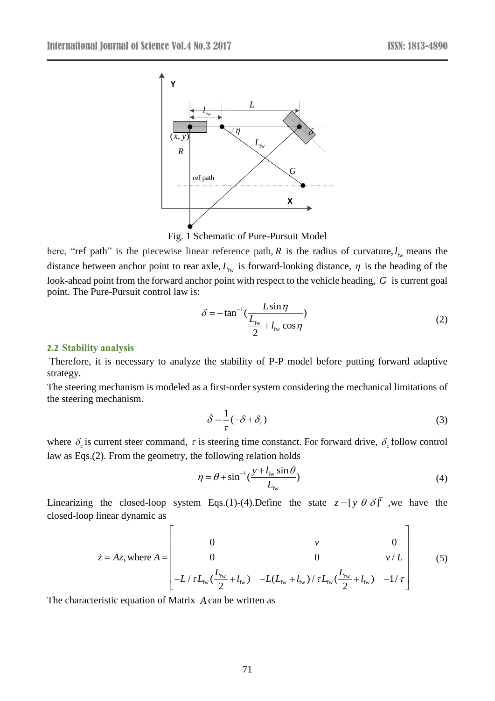

Fig. 1 Schematic of Pure-Pursuit Model

here, "ref path" is the piecewise linear reference path, R is the radius of curvature,  $l_{fw}$  means the distance between anchor point to rear axle,  $L_{fw}$  is forward-looking distance,  $\eta$  is the heading of the look-ahead point from the forward anchor point with respect to the vehicle heading, G is current goal point. The Pure-Pursuit control law is:

$$
\delta = -\tan^{-1}\left(\frac{L\sin\eta}{\frac{L_{\text{fw}}}{2} + l_{\text{fw}}\cos\eta}\right) \tag{2}
$$

#### **2.2 Stability analysis**

Therefore, it is necessary to analyze the stability of P-P model before putting forward adaptive strategy.

The steering mechanism is modeled as a first-order system considering the mechanical limitations of the steering mechanism.

$$
\dot{\delta} = \frac{1}{\tau} (-\delta + \delta_c) \tag{3}
$$

where  $\delta_c$  is current steer command,  $\tau$  is steering time constanct. For forward drive,  $\delta_c$  follow control law as Eqs.(2). From the geometry, the following relation holds

$$
\eta = \theta + \sin^{-1}\left(\frac{y + l_{\text{fw}}\sin\theta}{L_{\text{fw}}}\right) \tag{4}
$$

Linearizing the closed-loop system Eqs.(1)-(4). Define the state  $z = [y \theta \delta]^T$ , we have the closed-loop linear dynamic as

$$
\dot{z} = Az, \text{ where } A = \begin{bmatrix} 0 & v & 0 \\ 0 & 0 & v/L \\ -L/\tau L_{\text{fw}}(\frac{L_{\text{fw}}}{2} + l_{\text{fw}}) & -L(L_{\text{fw}} + l_{\text{fw}})/\tau L_{\text{fw}}(\frac{L_{\text{fw}}}{2} + l_{\text{fw}}) & -1/\tau \end{bmatrix}
$$
(5)

The characteristic equation of Matrix *A* can be written as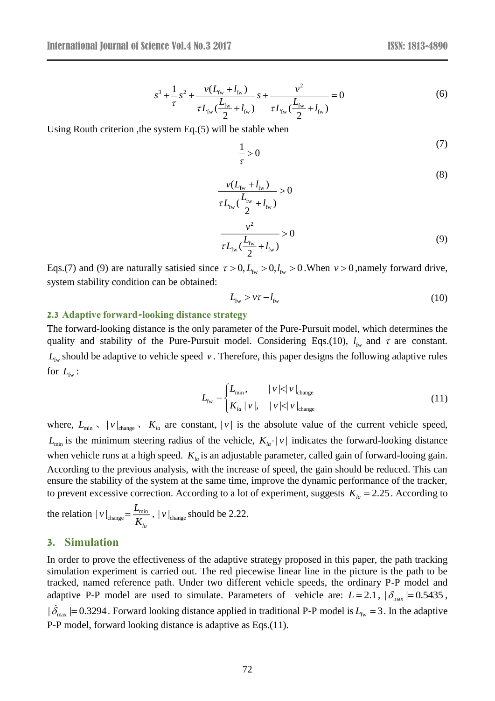$$
s^{3} + \frac{1}{\tau} s^{2} + \frac{\nu (L_{\text{fw}} + l_{\text{fw}})}{\tau L_{\text{fw}} \left(\frac{L_{\text{fw}}}{2} + l_{\text{fw}}\right)} s + \frac{\nu^{2}}{\tau L_{\text{fw}} \left(\frac{L_{\text{fw}}}{2} + l_{\text{fw}}\right)} = 0
$$
\n(6)

Using Routh criterion ,the system Eq.(5) will be stable when

$$
\frac{1}{\tau} > 0 \tag{7}
$$

$$
\frac{v(L_{\rm fw} + l_{\rm fw})}{\tau L_{\rm fw} (\frac{L_{\rm fw}}{2} + l_{\rm fw})} > 0
$$
\n
$$
\frac{v^2}{\tau L_{\rm fw} (\frac{L_{\rm fw}}{2} + l_{\rm fw})} > 0
$$
\n(9)

Eqs.(7) and (9) are naturally satisied since  $\tau > 0$ ,  $L_{\text{fw}} > 0$ ,  $L_{\text{fw}} > 0$ . When  $\nu > 0$ , namely forward drive, system stability condition can be obtained:

$$
L_{\text{fw}} > v\tau - l_{\text{fw}} \tag{10}
$$

#### **2.3 Adaptive forward-looking distance strategy**

The forward-looking distance is the only parameter of the Pure-Pursuit model, which determines the quality and stability of the Pure-Pursuit model. Considering Eqs.(10),  $l_{fw}$  and  $\tau$  are constant.  $L_{f_w}$  should be adaptive to vehicle speed v. Therefore, this paper designs the following adaptive rules for  $L_{\text{fw}}$ :

$$
L_{\text{fw}} = \begin{cases} L_{\min}, & |v| < |v|_{\text{change}} \\ K_{la} |v|, & |v| < |v|_{\text{change}} \end{cases} \tag{11}
$$

where,  $L_{\min}$ ,  $|v|_{\text{change}}$ ,  $K_{la}$  are constant,  $|v|$  is the absolute value of the current vehicle speed,  $L_{\text{min}}$  is the minimum steering radius of the vehicle,  $K_{l}$ ,  $|v|$  indicates the forward-looking distance when vehicle runs at a high speed.  $K_{la}$  is an adjustable parameter, called gain of forward-looing gain. According to the previous analysis, with the increase of speed, the gain should be reduced. This can ensure the stability of the system at the same time, improve the dynamic performance of the tracker, to prevent excessive correction. According to a lot of experiment, suggests  $K_{la} = 2.25$ . According to

the relation  $|v|_{\text{change}} = \frac{E_{\text{min}}}{K_{la}}$  $v\vert_{\text{change}} = \frac{L_{\text{min}}}{K}$ ,  $\vert v\vert_{\text{change}}$  should be 2.22.

### **3. Simulation**

In order to prove the effectiveness of the adaptive strategy proposed in this paper, the path tracking simulation experiment is carried out. The red piecewise linear line in the picture is the path to be tracked, named reference path. Under two different vehicle speeds, the ordinary P-P model and adaptive P-P model are used to simulate. Parameters of vehicle are:  $L = 2.1$ ,  $|\delta_{\text{max}}| = 0.5435$ ,  $|\delta_{\text{max}}|$  = 0.3294. Forward looking distance applied in traditional P-P model is  $L_{\text{fw}}$  = 3. In the adaptive P-P model, forward looking distance is adaptive as Eqs.(11).